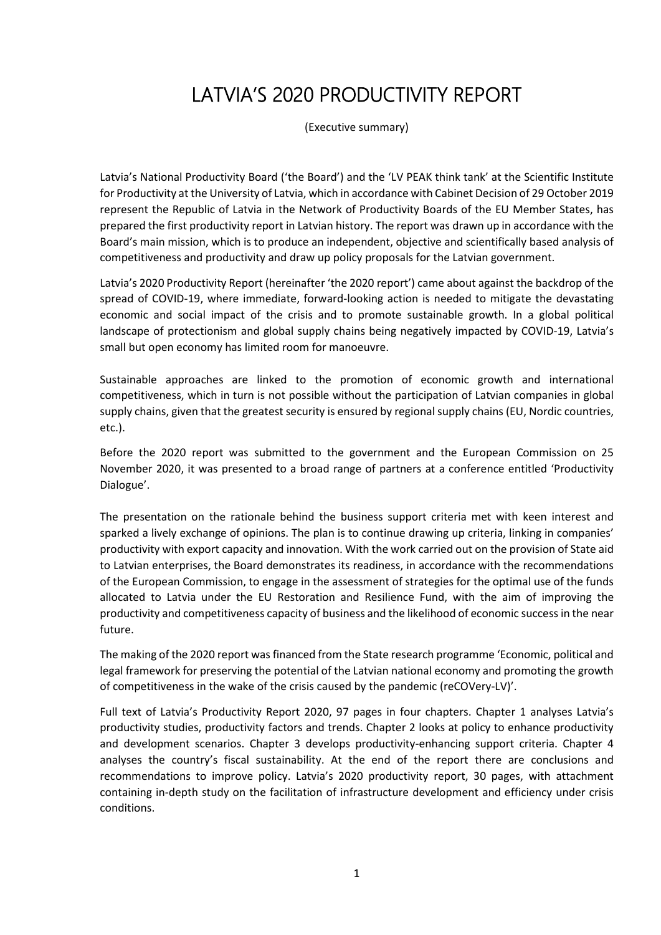# LATVIA'S 2020 PRODUCTIVITY REPORT

(Executive summary)

Latvia's National Productivity Board ('the Board') and the 'LV PEAK think tank' at the Scientific Institute for Productivity at the University of Latvia, which in accordance with Cabinet Decision of 29 October 2019 represent the Republic of Latvia in the Network of Productivity Boards of the EU Member States, has prepared the first productivity report in Latvian history. The report was drawn up in accordance with the Board's main mission, which is to produce an independent, objective and scientifically based analysis of competitiveness and productivity and draw up policy proposals for the Latvian government.

Latvia's 2020 Productivity Report (hereinafter 'the 2020 report') came about against the backdrop of the spread of COVID-19, where immediate, forward-looking action is needed to mitigate the devastating economic and social impact of the crisis and to promote sustainable growth. In a global political landscape of protectionism and global supply chains being negatively impacted by COVID-19, Latvia's small but open economy has limited room for manoeuvre.

Sustainable approaches are linked to the promotion of economic growth and international competitiveness, which in turn is not possible without the participation of Latvian companies in global supply chains, given that the greatest security is ensured by regional supply chains (EU, Nordic countries, etc.).

Before the 2020 report was submitted to the government and the European Commission on 25 November 2020, it was presented to a broad range of partners at a conference entitled 'Productivity Dialogue'.

The presentation on the rationale behind the business support criteria met with keen interest and sparked a lively exchange of opinions. The plan is to continue drawing up criteria, linking in companies' productivity with export capacity and innovation. With the work carried out on the provision of State aid to Latvian enterprises, the Board demonstrates its readiness, in accordance with the recommendations of the European Commission, to engage in the assessment of strategies for the optimal use of the funds allocated to Latvia under the EU Restoration and Resilience Fund, with the aim of improving the productivity and competitiveness capacity of business and the likelihood of economic success in the near future.

The making of the 2020 report was financed from the State research programme 'Economic, political and legal framework for preserving the potential of the Latvian national economy and promoting the growth of competitiveness in the wake of the crisis caused by the pandemic (reCOVery-LV)'.

Full text of Latvia's Productivity Report 2020, 97 pages in four chapters. Chapter 1 analyses Latvia's productivity studies, productivity factors and trends. Chapter 2 looks at policy to enhance productivity and development scenarios. Chapter 3 develops productivity-enhancing support criteria. Chapter 4 analyses the country's fiscal sustainability. At the end of the report there are conclusions and recommendations to improve policy. Latvia's 2020 productivity report, 30 pages, with attachment containing in-depth study on the facilitation of infrastructure development and efficiency under crisis conditions.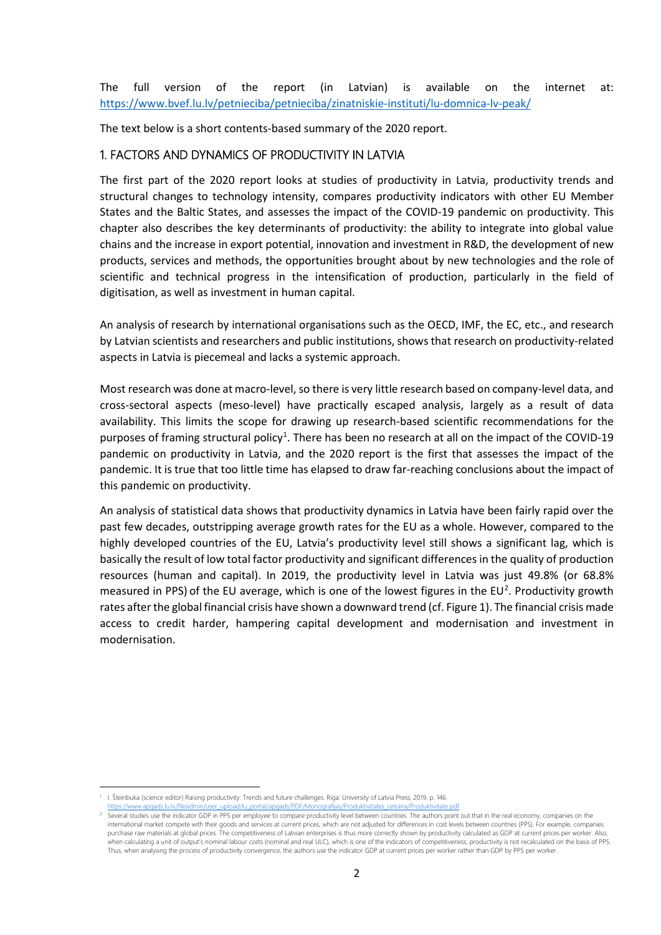The full version of the report (in Latvian) is available on the internet at: https://www.bvef.lu.lv/petnieciba/petnieciba/zinatniskie-instituti/lu-domnica-lv-peak/

The text below is a short contents-based summary of the 2020 report.

# 1. FACTORS AND DYNAMICS OF PRODUCTIVITY IN LATVIA

The first part of the 2020 report looks at studies of productivity in Latvia, productivity trends and structural changes to technology intensity, compares productivity indicators with other EU Member States and the Baltic States, and assesses the impact of the COVID-19 pandemic on productivity. This chapter also describes the key determinants of productivity: the ability to integrate into global value chains and the increase in export potential, innovation and investment in R&D, the development of new products, services and methods, the opportunities brought about by new technologies and the role of scientific and technical progress in the intensification of production, particularly in the field of digitisation, as well as investment in human capital.

An analysis of research by international organisations such as the OECD, IMF, the EC, etc., and research by Latvian scientists and researchers and public institutions, shows that research on productivity-related aspects in Latvia is piecemeal and lacks a systemic approach.

Most research was done at macro-level, so there is very little research based on company-level data, and cross-sectoral aspects (meso-level) have practically escaped analysis, largely as a result of data availability. This limits the scope for drawing up research-based scientific recommendations for the purposes of framing structural policy<sup>1</sup>. There has been no research at all on the impact of the COVID-19 pandemic on productivity in Latvia, and the 2020 report is the first that assesses the impact of the pandemic. It is true that too little time has elapsed to draw far-reaching conclusions about the impact of this pandemic on productivity.

An analysis of statistical data shows that productivity dynamics in Latvia have been fairly rapid over the past few decades, outstripping average growth rates for the EU as a whole. However, compared to the highly developed countries of the EU, Latvia's productivity level still shows a significant lag, which is basically the result of low total factor productivity and significant differences in the quality of production resources (human and capital). In 2019, the productivity level in Latvia was just 49.8% (or 68.8% measured in PPS) of the EU average, which is one of the lowest figures in the EU<sup>2</sup>. Productivity growth rates after the global financial crisis have shown a downward trend (cf. Figure 1). The financial crisis made access to credit harder, hampering capital development and modernisation and investment in modernisation.

https://www.portal/apgads/PDF/Monografijas/Produktivitates\_celsana/Produktivitate.pdf

**<sup>.</sup>** <sup>1</sup> I. Šteinbuka (science editor) Raising productivity: Trends and future challenges. Riga: University of Latvia Press, 2019, p. 146.

Several studies use the indicator GDP in PPS per employee to compare productivity level between countries. The authors point out that in the real economy, companies on the international market compete with their goods and services at current prices, which are not adjusted for differences in cost levels between countries (PPS). For example, companies purchase raw materials at global prices. The competitiveness of Latvian enterprises is thus more correctly shown by productivity calculated as GDP at current prices per worker. Also when calculating a unit of output's nominal labour costs (nominal and real ULC), which is one of the indicators of competitiveness, productivity is not recalculated on the basis of PPS. Thus, when analysing the process of productivity convergence, the authors use the indicator GDP at current prices per worker rather than GDP by PPS per worker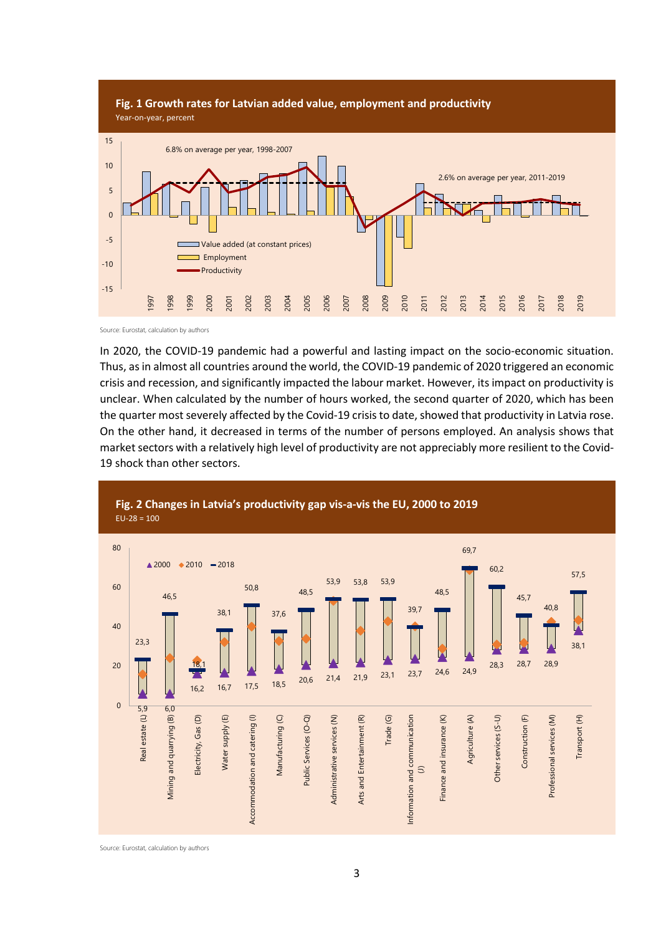

Source: Eurostat, calculation by authors

In 2020, the COVID-19 pandemic had a powerful and lasting impact on the socio-economic situation. Thus, as in almost all countries around the world, the COVID-19 pandemic of 2020 triggered an economic crisis and recession, and significantly impacted the labour market. However, its impact on productivity is unclear. When calculated by the number of hours worked, the second quarter of 2020, which has been the quarter most severely affected by the Covid-19 crisis to date, showed that productivity in Latvia rose. On the other hand, it decreased in terms of the number of persons employed. An analysis shows that market sectors with a relatively high level of productivity are not appreciably more resilient to the Covid-19 shock than other sectors.



Source: Eurostat, calculation by authors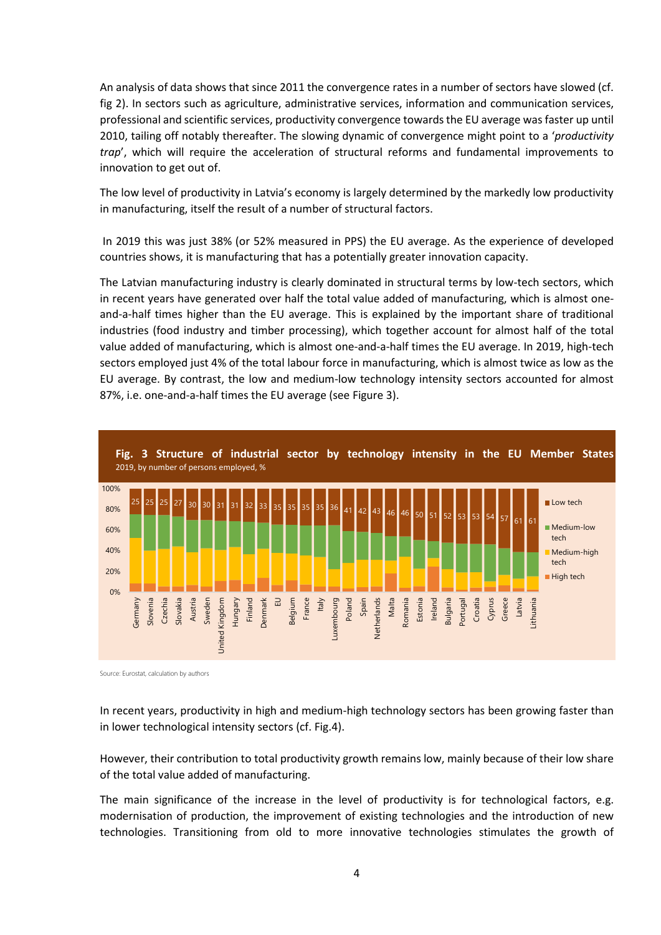An analysis of data shows that since 2011 the convergence rates in a number of sectors have slowed (cf. fig 2). In sectors such as agriculture, administrative services, information and communication services, professional and scientific services, productivity convergence towards the EU average was faster up until 2010, tailing off notably thereafter. The slowing dynamic of convergence might point to a '*productivity trap*', which will require the acceleration of structural reforms and fundamental improvements to innovation to get out of.

The low level of productivity in Latvia's economy is largely determined by the markedly low productivity in manufacturing, itself the result of a number of structural factors.

In 2019 this was just 38% (or 52% measured in PPS) the EU average. As the experience of developed countries shows, it is manufacturing that has a potentially greater innovation capacity.

The Latvian manufacturing industry is clearly dominated in structural terms by low-tech sectors, which in recent years have generated over half the total value added of manufacturing, which is almost oneand-a-half times higher than the EU average. This is explained by the important share of traditional industries (food industry and timber processing), which together account for almost half of the total value added of manufacturing, which is almost one-and-a-half times the EU average. In 2019, high-tech sectors employed just 4% of the total labour force in manufacturing, which is almost twice as low as the EU average. By contrast, the low and medium-low technology intensity sectors accounted for almost 87%, i.e. one-and-a-half times the EU average (see Figure 3).



Source: Eurostat, calculation by authors

In recent years, productivity in high and medium-high technology sectors has been growing faster than in lower technological intensity sectors (cf. Fig.4).

However, their contribution to total productivity growth remains low, mainly because of their low share of the total value added of manufacturing.

The main significance of the increase in the level of productivity is for technological factors, e.g. modernisation of production, the improvement of existing technologies and the introduction of new technologies. Transitioning from old to more innovative technologies stimulates the growth of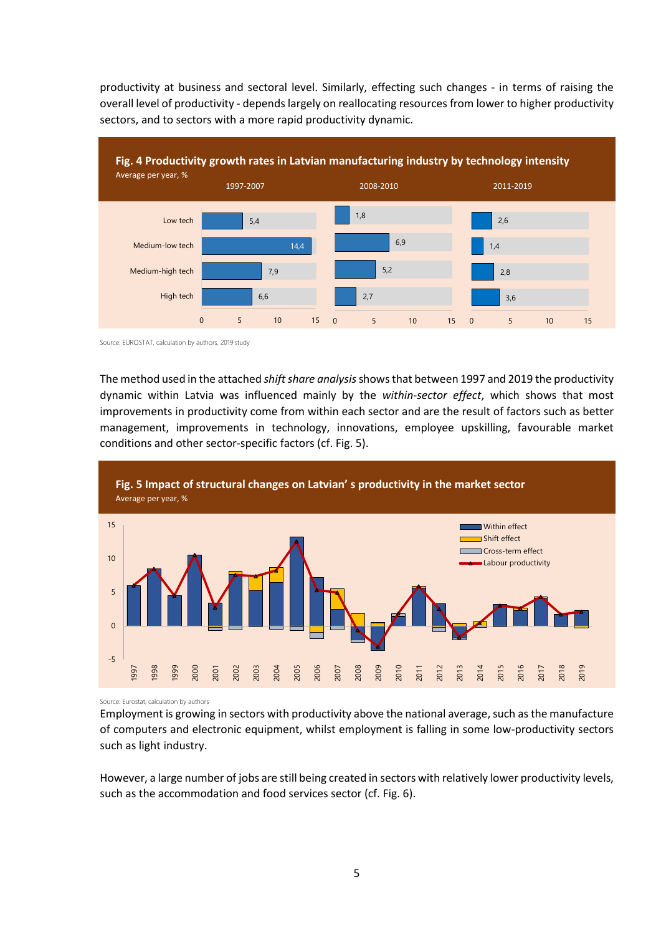productivity at business and sectoral level. Similarly, effecting such changes - in terms of raising the overall level of productivity - depends largely on reallocating resources from lower to higher productivity sectors, and to sectors with a more rapid productivity dynamic.



Source: EUROSTAT, calculation by authors, 2019 study

The method used in the attached *shift share analysis*shows that between 1997 and 2019 the productivity dynamic within Latvia was influenced mainly by the *within-sector effect*, which shows that most improvements in productivity come from within each sector and are the result of factors such as better management, improvements in technology, innovations, employee upskilling, favourable market conditions and other sector-specific factors (cf. Fig. 5).



Source: Eurostat, calculation by authors

Employment is growing in sectors with productivity above the national average, such as the manufacture of computers and electronic equipment, whilst employment is falling in some low-productivity sectors such as light industry.

However, a large number of jobs are still being created in sectors with relatively lower productivity levels, such as the accommodation and food services sector (cf. Fig. 6).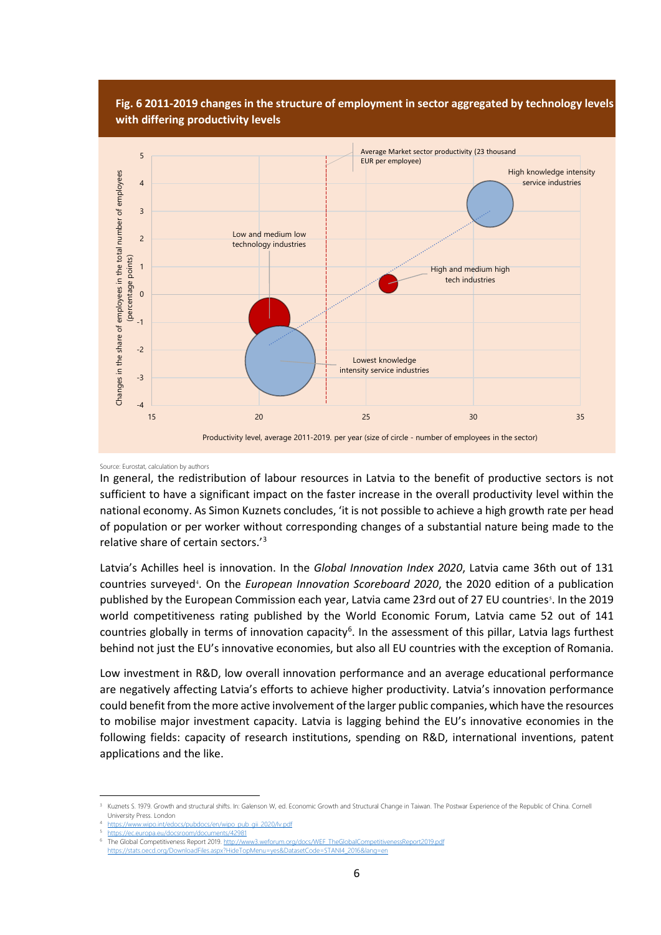

#### Source: Eurostat, calculation by authors

In general, the redistribution of labour resources in Latvia to the benefit of productive sectors is not sufficient to have a significant impact on the faster increase in the overall productivity level within the national economy. As Simon Kuznets concludes, 'it is not possible to achieve a high growth rate per head of population or per worker without corresponding changes of a substantial nature being made to the relative share of certain sectors.'3

Latvia's Achilles heel is innovation. In the *Global Innovation Index 2020*, Latvia came 36th out of 131 countries surveyed<sup>4</sup>. On the *European Innovation Scoreboard 2020*, the 2020 edition of a publication published by the European Commission each year, Latvia came 23rd out of 27 EU countries<sup>5</sup>. In the 2019 world competitiveness rating published by the World Economic Forum, Latvia came 52 out of 141 countries globally in terms of innovation capacity<sup>6</sup>. In the assessment of this pillar, Latvia lags furthest behind not just the EU's innovative economies, but also all EU countries with the exception of Romania.

Low investment in R&D, low overall innovation performance and an average educational performance are negatively affecting Latvia's efforts to achieve higher productivity. Latvia's innovation performance could benefit from the more active involvement of the larger public companies, which have the resources to mobilise major investment capacity. Latvia is lagging behind the EU's innovative economies in the following fields: capacity of research institutions, spending on R&D, international inventions, patent applications and the like.

 $\overline{a}$ 

Kuznets S. 1979. Growth and structural shifts. In: Galenson W, ed. Economic Growth and Structural Change in Taiwan. The Postwar Experience of the Republic of China. Cornell University Press. London

https://www.wipo.int/edocs/pubdocs/en/wipo\_pub<br>https://ec.europa.eu/docsroom/documents/42981

https://ec.europa.eu/docsroom/documents/42981<br>The Global Competitiveness Report 2019. http://w w3.weforum.org/docs/WEF\_TheGlobalCompetitivenessReport2019.pdf

https://stats.oecd.org/DownloadFiles.aspx?HideTopMenu=yes&DatasetCode=STANI4\_2016&lang=en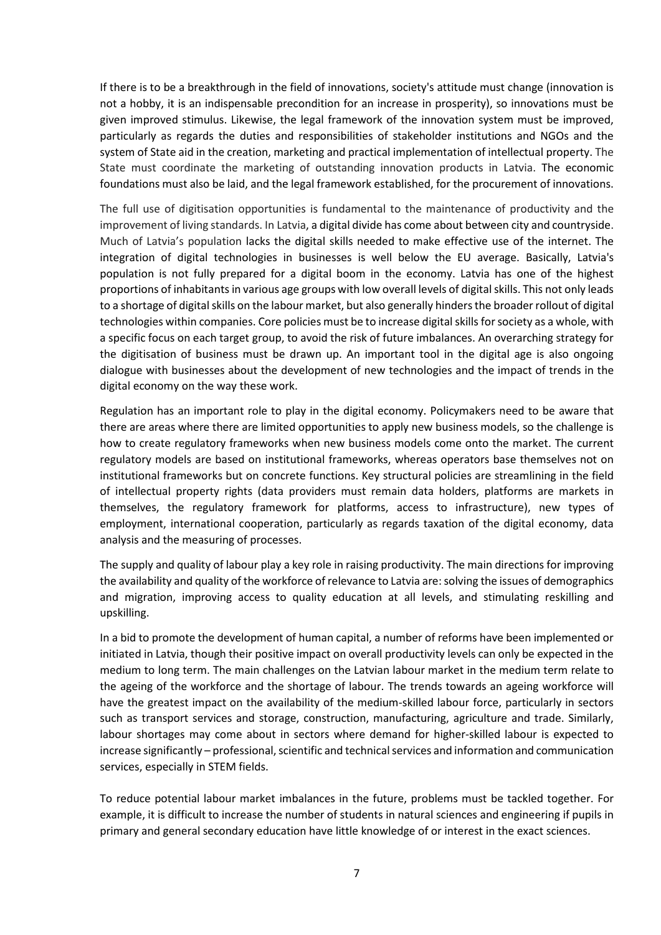If there is to be a breakthrough in the field of innovations, society's attitude must change (innovation is not a hobby, it is an indispensable precondition for an increase in prosperity), so innovations must be given improved stimulus. Likewise, the legal framework of the innovation system must be improved, particularly as regards the duties and responsibilities of stakeholder institutions and NGOs and the system of State aid in the creation, marketing and practical implementation of intellectual property. The State must coordinate the marketing of outstanding innovation products in Latvia. The economic foundations must also be laid, and the legal framework established, for the procurement of innovations.

The full use of digitisation opportunities is fundamental to the maintenance of productivity and the improvement of living standards. In Latvia, a digital divide has come about between city and countryside. Much of Latvia's population lacks the digital skills needed to make effective use of the internet. The integration of digital technologies in businesses is well below the EU average. Basically, Latvia's population is not fully prepared for a digital boom in the economy. Latvia has one of the highest proportions of inhabitants in various age groups with low overall levels of digital skills. This not only leads to a shortage of digital skills on the labour market, but also generally hinders the broader rollout of digital technologies within companies. Core policies must be to increase digital skills for society as a whole, with a specific focus on each target group, to avoid the risk of future imbalances. An overarching strategy for the digitisation of business must be drawn up. An important tool in the digital age is also ongoing dialogue with businesses about the development of new technologies and the impact of trends in the digital economy on the way these work.

Regulation has an important role to play in the digital economy. Policymakers need to be aware that there are areas where there are limited opportunities to apply new business models, so the challenge is how to create regulatory frameworks when new business models come onto the market. The current regulatory models are based on institutional frameworks, whereas operators base themselves not on institutional frameworks but on concrete functions. Key structural policies are streamlining in the field of intellectual property rights (data providers must remain data holders, platforms are markets in themselves, the regulatory framework for platforms, access to infrastructure), new types of employment, international cooperation, particularly as regards taxation of the digital economy, data analysis and the measuring of processes.

The supply and quality of labour play a key role in raising productivity. The main directions for improving the availability and quality of the workforce of relevance to Latvia are: solving the issues of demographics and migration, improving access to quality education at all levels, and stimulating reskilling and upskilling.

In a bid to promote the development of human capital, a number of reforms have been implemented or initiated in Latvia, though their positive impact on overall productivity levels can only be expected in the medium to long term. The main challenges on the Latvian labour market in the medium term relate to the ageing of the workforce and the shortage of labour. The trends towards an ageing workforce will have the greatest impact on the availability of the medium-skilled labour force, particularly in sectors such as transport services and storage, construction, manufacturing, agriculture and trade. Similarly, labour shortages may come about in sectors where demand for higher-skilled labour is expected to increase significantly – professional, scientific and technical services and information and communication services, especially in STEM fields.

To reduce potential labour market imbalances in the future, problems must be tackled together. For example, it is difficult to increase the number of students in natural sciences and engineering if pupils in primary and general secondary education have little knowledge of or interest in the exact sciences.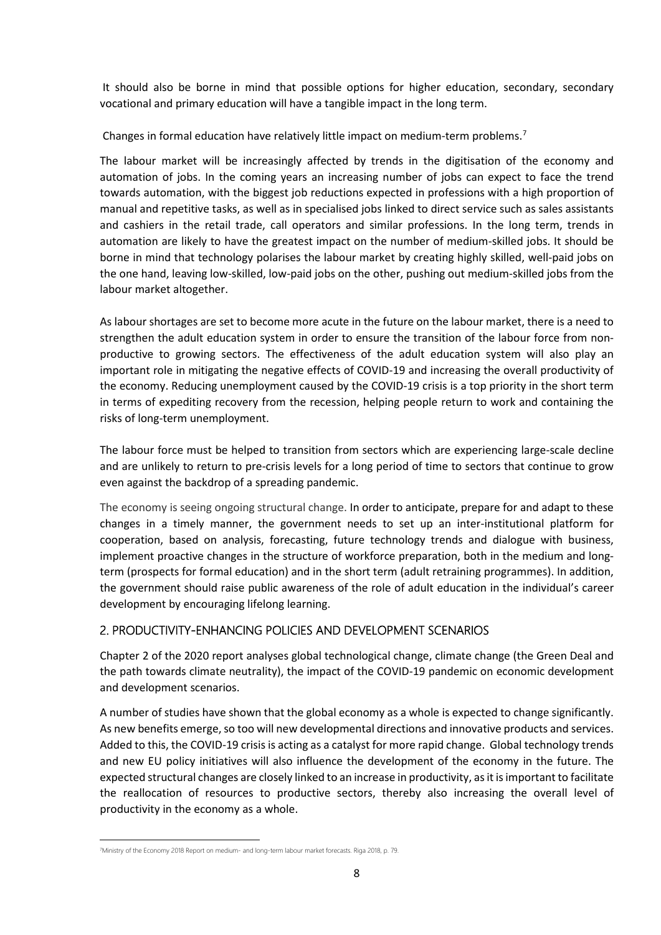It should also be borne in mind that possible options for higher education, secondary, secondary vocational and primary education will have a tangible impact in the long term.

Changes in formal education have relatively little impact on medium-term problems.7

The labour market will be increasingly affected by trends in the digitisation of the economy and automation of jobs. In the coming years an increasing number of jobs can expect to face the trend towards automation, with the biggest job reductions expected in professions with a high proportion of manual and repetitive tasks, as well as in specialised jobs linked to direct service such as sales assistants and cashiers in the retail trade, call operators and similar professions. In the long term, trends in automation are likely to have the greatest impact on the number of medium-skilled jobs. It should be borne in mind that technology polarises the labour market by creating highly skilled, well-paid jobs on the one hand, leaving low-skilled, low-paid jobs on the other, pushing out medium-skilled jobs from the labour market altogether.

As labour shortages are set to become more acute in the future on the labour market, there is a need to strengthen the adult education system in order to ensure the transition of the labour force from nonproductive to growing sectors. The effectiveness of the adult education system will also play an important role in mitigating the negative effects of COVID-19 and increasing the overall productivity of the economy. Reducing unemployment caused by the COVID-19 crisis is a top priority in the short term in terms of expediting recovery from the recession, helping people return to work and containing the risks of long-term unemployment.

The labour force must be helped to transition from sectors which are experiencing large-scale decline and are unlikely to return to pre-crisis levels for a long period of time to sectors that continue to grow even against the backdrop of a spreading pandemic.

The economy is seeing ongoing structural change. In order to anticipate, prepare for and adapt to these changes in a timely manner, the government needs to set up an inter-institutional platform for cooperation, based on analysis, forecasting, future technology trends and dialogue with business, implement proactive changes in the structure of workforce preparation, both in the medium and longterm (prospects for formal education) and in the short term (adult retraining programmes). In addition, the government should raise public awareness of the role of adult education in the individual's career development by encouraging lifelong learning.

# 2. PRODUCTIVITY-ENHANCING POLICIES AND DEVELOPMENT SCENARIOS

Chapter 2 of the 2020 report analyses global technological change, climate change (the Green Deal and the path towards climate neutrality), the impact of the COVID-19 pandemic on economic development and development scenarios.

A number of studies have shown that the global economy as a whole is expected to change significantly. As new benefits emerge, so too will new developmental directions and innovative products and services. Added to this, the COVID-19 crisis is acting as a catalyst for more rapid change. Global technology trends and new EU policy initiatives will also influence the development of the economy in the future. The expected structural changes are closely linked to an increase in productivity, as it is important to facilitate the reallocation of resources to productive sectors, thereby also increasing the overall level of productivity in the economy as a whole.

 $\overline{a}$ 

<sup>7</sup> Ministry of the Economy 2018 Report on medium- and long-term labour market forecasts. Riga 2018, p. 79.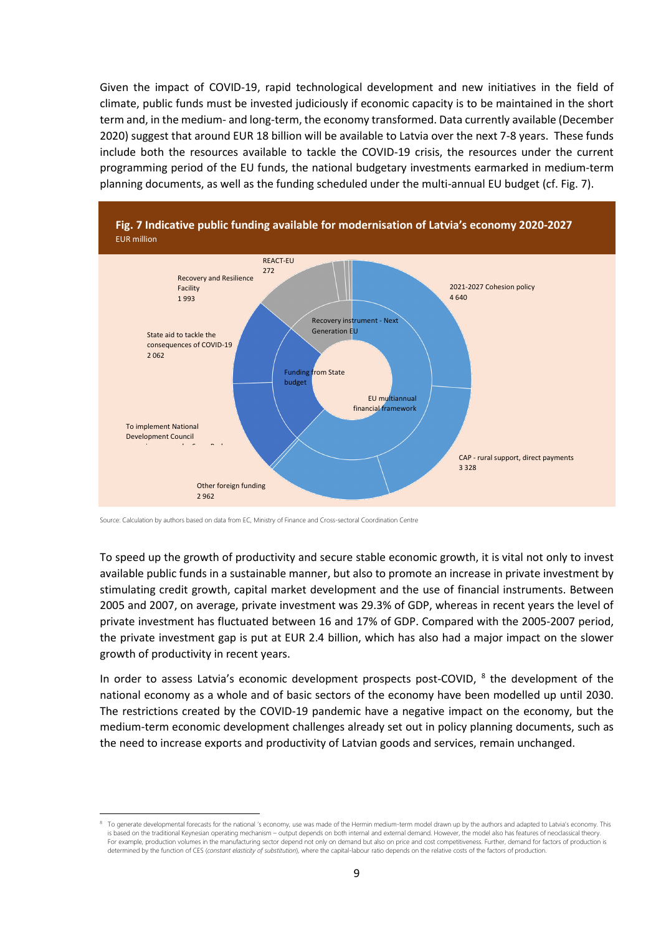Given the impact of COVID-19, rapid technological development and new initiatives in the field of climate, public funds must be invested judiciously if economic capacity is to be maintained in the short term and, in the medium- and long-term, the economy transformed. Data currently available (December 2020) suggest that around EUR 18 billion will be available to Latvia over the next 7-8 years. These funds include both the resources available to tackle the COVID-19 crisis, the resources under the current programming period of the EU funds, the national budgetary investments earmarked in medium-term planning documents, as well as the funding scheduled under the multi-annual EU budget (cf. Fig. 7).



Source: Calculation by authors based on data from EC, Ministry of Finance and Cross-sectoral Coordination Centre

**.** 

To speed up the growth of productivity and secure stable economic growth, it is vital not only to invest available public funds in a sustainable manner, but also to promote an increase in private investment by stimulating credit growth, capital market development and the use of financial instruments. Between 2005 and 2007, on average, private investment was 29.3% of GDP, whereas in recent years the level of private investment has fluctuated between 16 and 17% of GDP. Compared with the 2005-2007 period, the private investment gap is put at EUR 2.4 billion, which has also had a major impact on the slower growth of productivity in recent years.

In order to assess Latvia's economic development prospects post-COVID, <sup>8</sup> the development of the national economy as a whole and of basic sectors of the economy have been modelled up until 2030. The restrictions created by the COVID-19 pandemic have a negative impact on the economy, but the medium-term economic development challenges already set out in policy planning documents, such as the need to increase exports and productivity of Latvian goods and services, remain unchanged.

To generate developmental forecasts for the national 's economy, use was made of the Hermin medium-term model drawn up by the authors and adapted to Latvia's economy. This is based on the traditional Keynesian operating mechanism – output depends on both internal and external demand. However, the model also has features of neoclassical theory. For example, production volumes in the manufacturing sector depend not only on demand but also on price and cost competitiveness. Further, demand for factors of production is determined by the function of CES (*constant elasticity of substitution*), where the capital-labour ratio depends on the relative costs of the factors of production.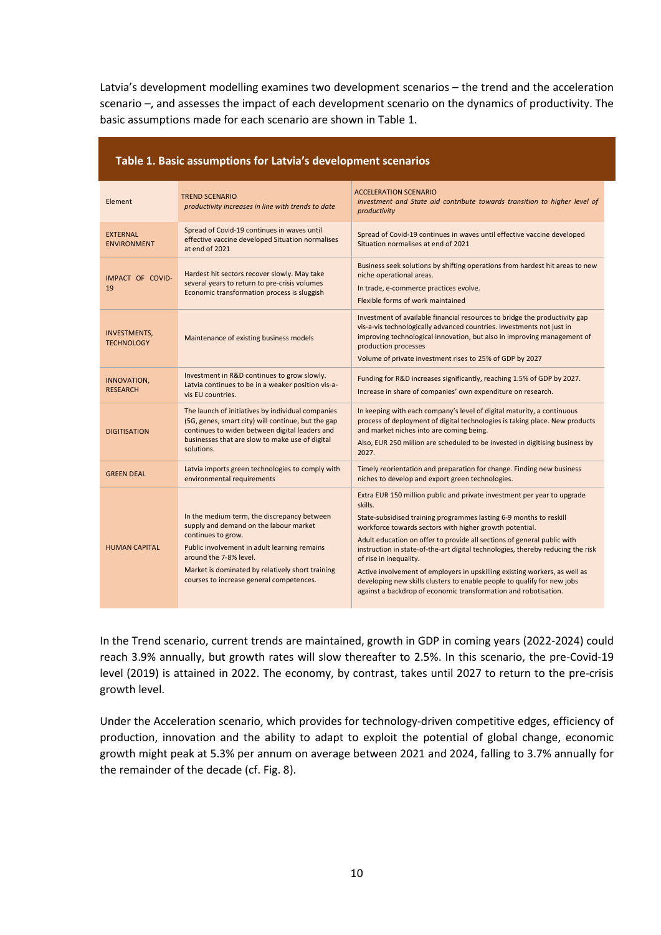Latvia's development modelling examines two development scenarios – the trend and the acceleration scenario –, and assesses the impact of each development scenario on the dynamics of productivity. The basic assumptions made for each scenario are shown in Table 1.

| Element                                  | <b>TREND SCENARIO</b><br>productivity increases in line with trends to date                                                                                                                                                                                                           | <b>ACCELERATION SCENARIO</b><br>investment and State aid contribute towards transition to higher level of<br>productivity                                                                                                                                                                                                                                                                                                                                                                                                                                                                                                               |
|------------------------------------------|---------------------------------------------------------------------------------------------------------------------------------------------------------------------------------------------------------------------------------------------------------------------------------------|-----------------------------------------------------------------------------------------------------------------------------------------------------------------------------------------------------------------------------------------------------------------------------------------------------------------------------------------------------------------------------------------------------------------------------------------------------------------------------------------------------------------------------------------------------------------------------------------------------------------------------------------|
| <b>EXTERNAL</b><br><b>ENVIRONMENT</b>    | Spread of Covid-19 continues in waves until<br>effective vaccine developed Situation normalises<br>at end of 2021                                                                                                                                                                     | Spread of Covid-19 continues in waves until effective vaccine developed<br>Situation normalises at end of 2021                                                                                                                                                                                                                                                                                                                                                                                                                                                                                                                          |
| IMPACT OF COVID-<br>19                   | Hardest hit sectors recover slowly. May take<br>several years to return to pre-crisis volumes<br>Economic transformation process is sluggish                                                                                                                                          | Business seek solutions by shifting operations from hardest hit areas to new<br>niche operational areas.<br>In trade, e-commerce practices evolve.<br>Flexible forms of work maintained                                                                                                                                                                                                                                                                                                                                                                                                                                                 |
| <b>INVESTMENTS,</b><br><b>TECHNOLOGY</b> | Maintenance of existing business models                                                                                                                                                                                                                                               | Investment of available financial resources to bridge the productivity gap<br>vis-a-vis technologically advanced countries. Investments not just in<br>improving technological innovation, but also in improving management of<br>production processes<br>Volume of private investment rises to 25% of GDP by 2027                                                                                                                                                                                                                                                                                                                      |
| INNOVATION,<br><b>RESEARCH</b>           | Investment in R&D continues to grow slowly.<br>Latvia continues to be in a weaker position vis-a-<br>vis EU countries.                                                                                                                                                                | Funding for R&D increases significantly, reaching 1.5% of GDP by 2027.<br>Increase in share of companies' own expenditure on research.                                                                                                                                                                                                                                                                                                                                                                                                                                                                                                  |
| <b>DIGITISATION</b>                      | The launch of initiatives by individual companies<br>(5G, genes, smart city) will continue, but the gap<br>continues to widen between digital leaders and<br>businesses that are slow to make use of digital<br>solutions.                                                            | In keeping with each company's level of digital maturity, a continuous<br>process of deployment of digital technologies is taking place. New products<br>and market niches into are coming being.<br>Also, EUR 250 million are scheduled to be invested in digitising business by<br>2027.                                                                                                                                                                                                                                                                                                                                              |
| <b>GREEN DEAL</b>                        | Latvia imports green technologies to comply with<br>environmental requirements                                                                                                                                                                                                        | Timely reorientation and preparation for change. Finding new business<br>niches to develop and export green technologies.                                                                                                                                                                                                                                                                                                                                                                                                                                                                                                               |
| <b>HUMAN CAPITAL</b>                     | In the medium term, the discrepancy between<br>supply and demand on the labour market<br>continues to grow.<br>Public involvement in adult learning remains<br>around the 7-8% level.<br>Market is dominated by relatively short training<br>courses to increase general competences. | Extra EUR 150 million public and private investment per year to upgrade<br>skills.<br>State-subsidised training programmes lasting 6-9 months to reskill<br>workforce towards sectors with higher growth potential.<br>Adult education on offer to provide all sections of general public with<br>instruction in state-of-the-art digital technologies, thereby reducing the risk<br>of rise in inequality.<br>Active involvement of employers in upskilling existing workers, as well as<br>developing new skills clusters to enable people to qualify for new jobs<br>against a backdrop of economic transformation and robotisation. |

# **Table 1. Basic assumptions for Latvia's development scenarios**

In the Trend scenario, current trends are maintained, growth in GDP in coming years (2022-2024) could reach 3.9% annually, but growth rates will slow thereafter to 2.5%. In this scenario, the pre-Covid-19 level (2019) is attained in 2022. The economy, by contrast, takes until 2027 to return to the pre-crisis growth level.

Under the Acceleration scenario, which provides for technology-driven competitive edges, efficiency of production, innovation and the ability to adapt to exploit the potential of global change, economic growth might peak at 5.3% per annum on average between 2021 and 2024, falling to 3.7% annually for the remainder of the decade (cf. Fig. 8).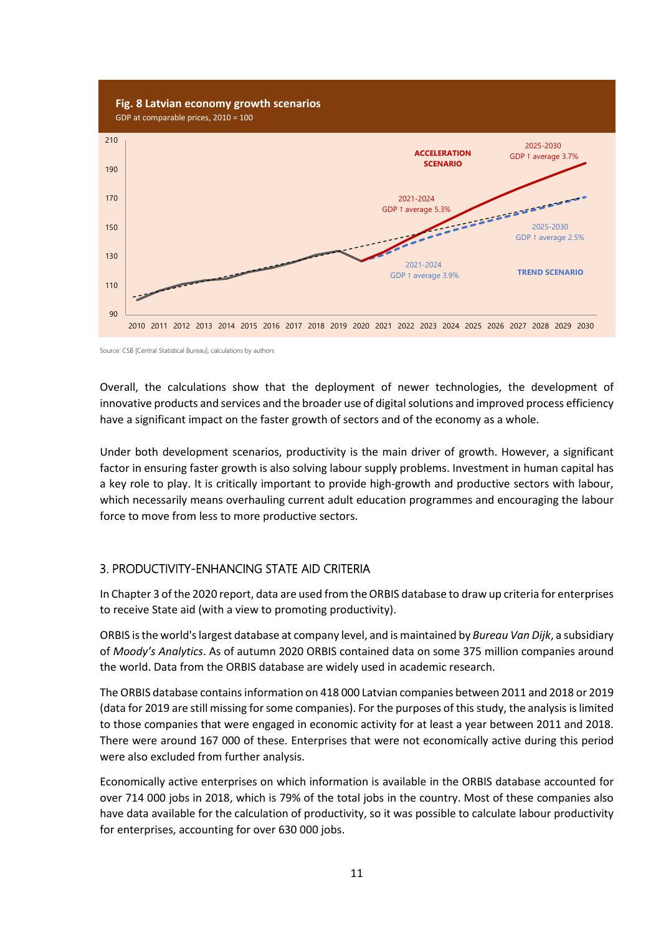

Source: CSB [Central Statistical Bureau], calculations by authors

Overall, the calculations show that the deployment of newer technologies, the development of innovative products and services and the broader use of digital solutions and improved process efficiency have a significant impact on the faster growth of sectors and of the economy as a whole.

Under both development scenarios, productivity is the main driver of growth. However, a significant factor in ensuring faster growth is also solving labour supply problems. Investment in human capital has a key role to play. It is critically important to provide high-growth and productive sectors with labour, which necessarily means overhauling current adult education programmes and encouraging the labour force to move from less to more productive sectors.

# 3. PRODUCTIVITY-ENHANCING STATE AID CRITERIA

In Chapter 3 of the 2020 report, data are used from the ORBIS database to draw up criteria for enterprises to receive State aid (with a view to promoting productivity).

ORBIS is the world's largest database at company level, and is maintained by *Bureau Van Dijk*, a subsidiary of *Moody's Analytics*. As of autumn 2020 ORBIS contained data on some 375 million companies around the world. Data from the ORBIS database are widely used in academic research.

The ORBIS database contains information on 418 000 Latvian companies between 2011 and 2018 or 2019 (data for 2019 are still missing for some companies). For the purposes of this study, the analysis is limited to those companies that were engaged in economic activity for at least a year between 2011 and 2018. There were around 167 000 of these. Enterprises that were not economically active during this period were also excluded from further analysis.

Economically active enterprises on which information is available in the ORBIS database accounted for over 714 000 jobs in 2018, which is 79% of the total jobs in the country. Most of these companies also have data available for the calculation of productivity, so it was possible to calculate labour productivity for enterprises, accounting for over 630 000 jobs.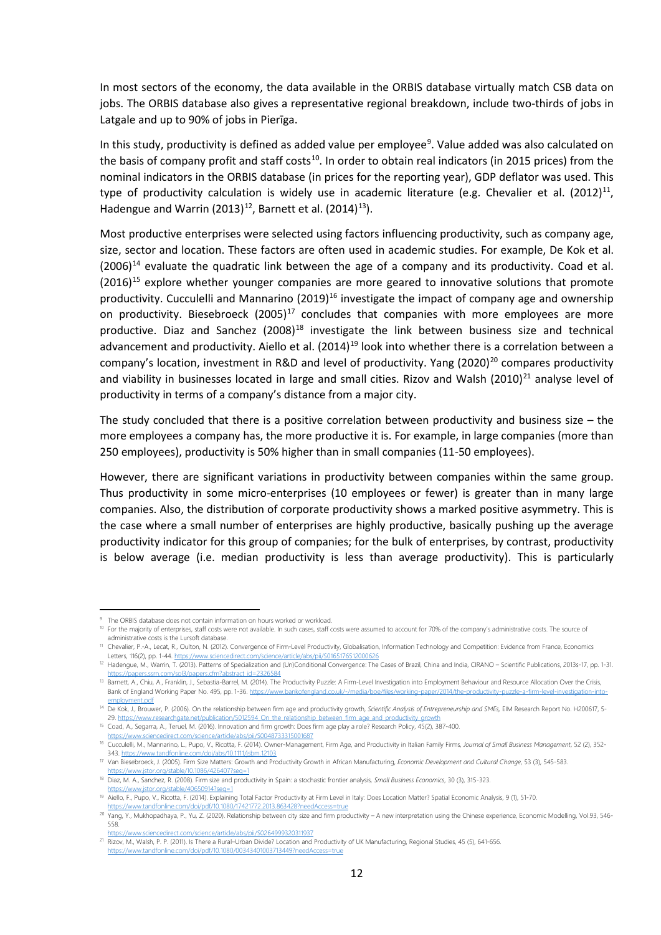In most sectors of the economy, the data available in the ORBIS database virtually match CSB data on jobs. The ORBIS database also gives a representative regional breakdown, include two-thirds of jobs in Latgale and up to 90% of jobs in Pierīga.

In this study, productivity is defined as added value per employee<sup>9</sup>. Value added was also calculated on the basis of company profit and staff costs<sup>10</sup>. In order to obtain real indicators (in 2015 prices) from the nominal indicators in the ORBIS database (in prices for the reporting year), GDP deflator was used. This type of productivity calculation is widely use in academic literature (e.g. Chevalier et al.  $(2012)^{11}$ , Hadengue and Warrin (2013)<sup>12</sup>, Barnett et al. (2014)<sup>13</sup>).

Most productive enterprises were selected using factors influencing productivity, such as company age, size, sector and location. These factors are often used in academic studies. For example, De Kok et al.  $(2006)^{14}$  evaluate the quadratic link between the age of a company and its productivity. Coad et al.  $(2016)^{15}$  explore whether younger companies are more geared to innovative solutions that promote productivity. Cucculelli and Mannarino (2019)<sup>16</sup> investigate the impact of company age and ownership on productivity. Biesebroeck  $(2005)^{17}$  concludes that companies with more employees are more productive. Diaz and Sanchez  $(2008)^{18}$  investigate the link between business size and technical advancement and productivity. Aiello et al. (2014)<sup>19</sup> look into whether there is a correlation between a company's location, investment in R&D and level of productivity. Yang  $(2020)^{20}$  compares productivity and viability in businesses located in large and small cities. Rizov and Walsh (2010)<sup>21</sup> analyse level of productivity in terms of a company's distance from a major city.

The study concluded that there is a positive correlation between productivity and business size  $-$  the more employees a company has, the more productive it is. For example, in large companies (more than 250 employees), productivity is 50% higher than in small companies (11-50 employees).

However, there are significant variations in productivity between companies within the same group. Thus productivity in some micro-enterprises (10 employees or fewer) is greater than in many large companies. Also, the distribution of corporate productivity shows a marked positive asymmetry. This is the case where a small number of enterprises are highly productive, basically pushing up the average productivity indicator for this group of companies; for the bulk of enterprises, by contrast, productivity is below average (i.e. median productivity is less than average productivity). This is particularly

<u>.</u>

https://www.tandfonline.com/doi/pdf/10.1080/00343401003713449?needAccess=true

<sup>&</sup>lt;sup>9</sup> The ORBIS database does not contain information on hours worked or workload.<br><sup>10</sup> For the majority of enterprises, staff costs were not available. In such cases, staff costs were assumed to account for 70% of the compa administrative costs is the Lursoft database.<br><sup>11</sup> Chevalier, P.-A., Lecat, R., Oulton, N. (2012). Convergence of Firm-Level Productivity, Globalisation, Information Technology and Competition: Evidence from France, Econom

Letters, 116(2), pp. 1-44. https://www.sciencedirect.com/science/article/abs/pii/S01651765120006

<sup>12</sup> Hadengue, M., Warrin, T. (2013). Patterns of Specialization and (Un)Conditional Convergence: The Cases of Brazil, China and India, CIRANO – Scientific Publications, 2013s-17, pp. 1-31.

https://papers.ssrn.com/sol3/papers.cfm?abstract\_id=2326584<br><sup>13</sup> Barnett, A., Chiu, A., Franklin, J., Sebastia-Barrel, M. (2014). The Productivity Puzzle: A Firm-Level Investigation into Employment Behaviour and Resource A Bank of England Working Paper No. 495, pp. 1-36. http employment pdf

<sup>14</sup> De Kok, J., Brouwer, P. (2006). On the relationship between firm age and productivity growth, Scientific Analysis of Entrepreneurship and SMEs, EIM Research Report No. H200617, 5-29. https://www.researchgate.net/publication/5012594. On\_the\_relationship\_between\_firm\_age\_and\_productivity\_gro

<sup>15</sup> Coad, A., Segarra, A., Teruel, M. (2016). Innovation and firm growth: Does firm age play a role? Research Policy, 45(2), 387-400.

https://www.sciencedirect.com/science/article/abs/pii/S0048733315001687 <sup>16</sup> Cucculelli, M., Mannarino, L., Pupo, V., Ricotta, F. (2014). Owner-Management, Firm Age, and Productivity in Italian Family Firms, *Journal of Small Business Management*, 52 (2), 352- /ahs/10.1111/ishm.12103

<sup>17</sup> Van Biesebroeck, J. (2005). Firm Size Matters: Growth and Productivity Growth in African Manufacturing, *Economic Development and Cultural Change*, 53 (3), 545-583.

w istor.org/stable/10.1086/426407?seq= <sup>18</sup> Diaz, M. A., Sanchez, R. (2008). Firm size and productivity in Spain: a stochastic frontier analysis, *Small Business Economics*, 30 (3), 315-323.

https://www.jstor.org/stable/40650914?seq=1<br><sup>19</sup> Aiello, F., Pupo, V., Ricotta, F. (2014). Explaining Total Factor Productivity at Firm Level in Italy: Does Location Matter? Spatial Economic Analysis, 9 (1), 51-70.

df/10.1080/17421772.2013.863428<sup>2</sup> <sup>20</sup> Yang, Y., Mukhopadhaya, P., Yu, Z. (2020). Relationship between city size and firm productivity – A new interpretation using the Chinese experience, Economic Modelling, Vol.93, 546-558.

https://www.sciencedirect.com/science/article/abs/pii/S0264999320311937

<sup>21</sup> Rizov, M., Walsh, P. P. (2011). Is There a Rural–Urban Divide? Location and Productivity of UK Manufacturing, Regional Studies, 45 (5), 641-656.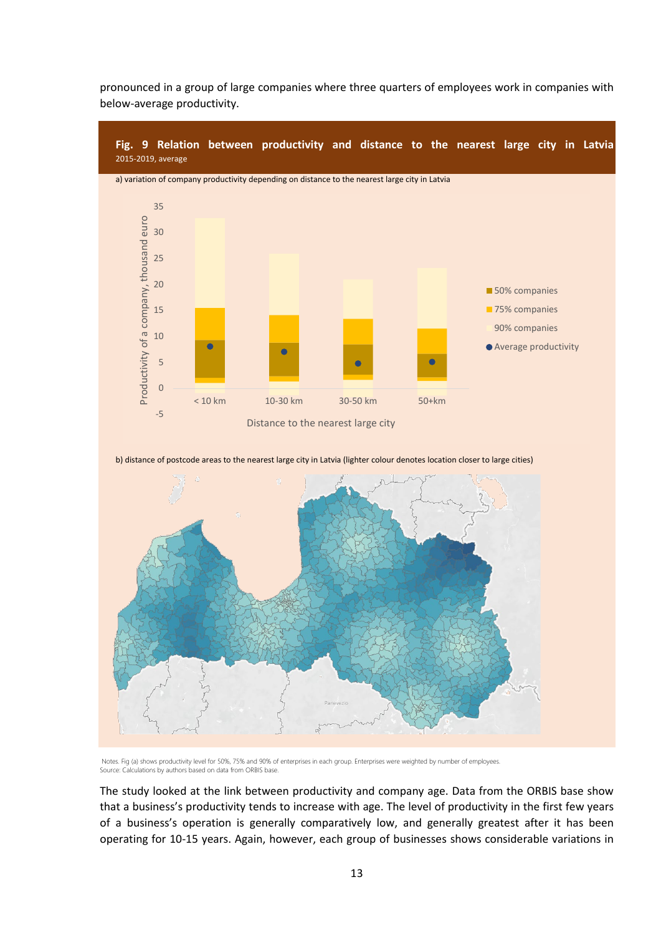

pronounced in a group of large companies where three quarters of employees work in companies with below-average productivity.

b) distance of postcode areas to the nearest large city in Latvia (lighter colour denotes location closer to large cities)



Notes. Fig (a) shows productivity level for 50%, 75% and 90% of enterprises in each group. Enterprises were weighted by number of employees. Source: Calculations by authors based on data from ORBIS base.

The study looked at the link between productivity and company age. Data from the ORBIS base show that a business's productivity tends to increase with age. The level of productivity in the first few years of a business's operation is generally comparatively low, and generally greatest after it has been operating for 10-15 years. Again, however, each group of businesses shows considerable variations in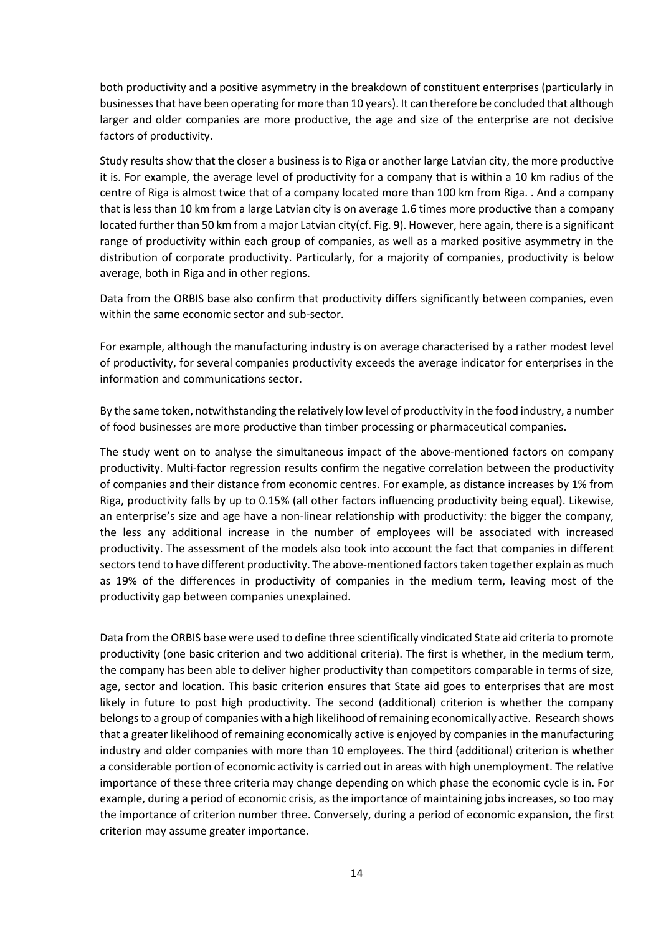both productivity and a positive asymmetry in the breakdown of constituent enterprises (particularly in businesses that have been operating for more than 10 years). It can therefore be concluded that although larger and older companies are more productive, the age and size of the enterprise are not decisive factors of productivity.

Study results show that the closer a business is to Riga or another large Latvian city, the more productive it is. For example, the average level of productivity for a company that is within a 10 km radius of the centre of Riga is almost twice that of a company located more than 100 km from Riga. . And a company that is less than 10 km from a large Latvian city is on average 1.6 times more productive than a company located further than 50 km from a major Latvian city(cf. Fig. 9). However, here again, there is a significant range of productivity within each group of companies, as well as a marked positive asymmetry in the distribution of corporate productivity. Particularly, for a majority of companies, productivity is below average, both in Riga and in other regions.

Data from the ORBIS base also confirm that productivity differs significantly between companies, even within the same economic sector and sub-sector.

For example, although the manufacturing industry is on average characterised by a rather modest level of productivity, for several companies productivity exceeds the average indicator for enterprises in the information and communications sector.

By the same token, notwithstanding the relatively low level of productivity in the food industry, a number of food businesses are more productive than timber processing or pharmaceutical companies.

The study went on to analyse the simultaneous impact of the above-mentioned factors on company productivity. Multi-factor regression results confirm the negative correlation between the productivity of companies and their distance from economic centres. For example, as distance increases by 1% from Riga, productivity falls by up to 0.15% (all other factors influencing productivity being equal). Likewise, an enterprise's size and age have a non-linear relationship with productivity: the bigger the company, the less any additional increase in the number of employees will be associated with increased productivity. The assessment of the models also took into account the fact that companies in different sectors tend to have different productivity. The above-mentioned factors taken together explain as much as 19% of the differences in productivity of companies in the medium term, leaving most of the productivity gap between companies unexplained.

Data from the ORBIS base were used to define three scientifically vindicated State aid criteria to promote productivity (one basic criterion and two additional criteria). The first is whether, in the medium term, the company has been able to deliver higher productivity than competitors comparable in terms of size, age, sector and location. This basic criterion ensures that State aid goes to enterprises that are most likely in future to post high productivity. The second (additional) criterion is whether the company belongs to a group of companies with a high likelihood of remaining economically active. Research shows that a greater likelihood of remaining economically active is enjoyed by companies in the manufacturing industry and older companies with more than 10 employees. The third (additional) criterion is whether a considerable portion of economic activity is carried out in areas with high unemployment. The relative importance of these three criteria may change depending on which phase the economic cycle is in. For example, during a period of economic crisis, as the importance of maintaining jobs increases, so too may the importance of criterion number three. Conversely, during a period of economic expansion, the first criterion may assume greater importance.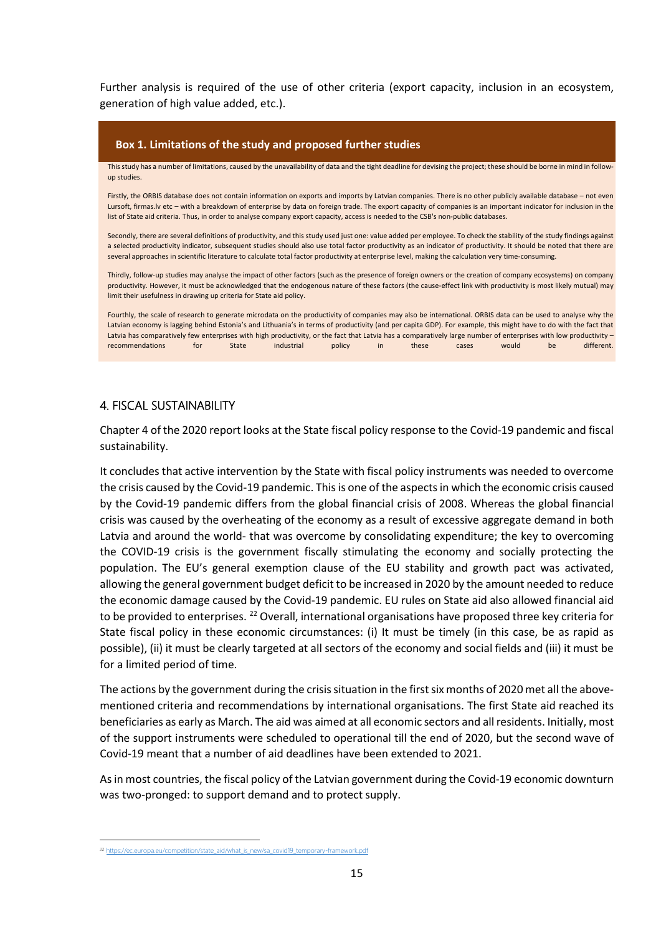Further analysis is required of the use of other criteria (export capacity, inclusion in an ecosystem, generation of high value added, etc.).

# **Box 1. Limitations of the study and proposed further studies**

This study has a number of limitations, caused by the unavailability of data and the tight deadline for devising the project; these should be borne in mind in followup studies.

Firstly, the ORBIS database does not contain information on exports and imports by Latvian companies. There is no other publicly available database – not even Lursoft, firmas.lv etc – with a breakdown of enterprise by data on foreign trade. The export capacity of companies is an important indicator for inclusion in the list of State aid criteria. Thus, in order to analyse company export capacity, access is needed to the CSB's non-public databases.

Secondly, there are several definitions of productivity, and this study used just one: value added per employee. To check the stability of the study findings against a selected productivity indicator, subsequent studies should also use total factor productivity as an indicator of productivity. It should be noted that there are several approaches in scientific literature to calculate total factor productivity at enterprise level, making the calculation very time-consuming.

Thirdly, follow-up studies may analyse the impact of other factors (such as the presence of foreign owners or the creation of company ecosystems) on company productivity. However, it must be acknowledged that the endogenous nature of these factors (the cause-effect link with productivity is most likely mutual) may limit their usefulness in drawing up criteria for State aid policy.

Fourthly, the scale of research to generate microdata on the productivity of companies may also be international. ORBIS data can be used to analyse why the Latvian economy is lagging behind Estonia's and Lithuania's in terms of productivity (and per capita GDP). For example, this might have to do with the fact that Latvia has comparatively few enterprises with high productivity, or the fact that Latvia has a comparatively large number of enterprises with low productivity – recommendations for State industrial policy in these cases would be different.

# 4. FISCAL SUSTAINABILITY

Chapter 4 of the 2020 report looks at the State fiscal policy response to the Covid-19 pandemic and fiscal sustainability.

It concludes that active intervention by the State with fiscal policy instruments was needed to overcome the crisis caused by the Covid-19 pandemic. This is one of the aspects in which the economic crisis caused by the Covid-19 pandemic differs from the global financial crisis of 2008. Whereas the global financial crisis was caused by the overheating of the economy as a result of excessive aggregate demand in both Latvia and around the world- that was overcome by consolidating expenditure; the key to overcoming the COVID-19 crisis is the government fiscally stimulating the economy and socially protecting the population. The EU's general exemption clause of the EU stability and growth pact was activated, allowing the general government budget deficit to be increased in 2020 by the amount needed to reduce the economic damage caused by the Covid-19 pandemic. EU rules on State aid also allowed financial aid to be provided to enterprises. <sup>22</sup> Overall, international organisations have proposed three key criteria for State fiscal policy in these economic circumstances: (i) It must be timely (in this case, be as rapid as possible), (ii) it must be clearly targeted at all sectors of the economy and social fields and (iii) it must be for a limited period of time.

The actions by the government during the crisis situation in the first six months of 2020 met all the abovementioned criteria and recommendations by international organisations. The first State aid reached its beneficiaries as early as March. The aid was aimed at all economic sectors and all residents. Initially, most of the support instruments were scheduled to operational till the end of 2020, but the second wave of Covid-19 meant that a number of aid deadlines have been extended to 2021.

As in most countries, the fiscal policy of the Latvian government during the Covid-19 economic downturn was two-pronged: to support demand and to protect supply.

 $\overline{a}$ <sup>22</sup> https://ec.europa.eu/competition/state\_aid/what\_is\_new/sa\_covid19\_temporary-framework.pdf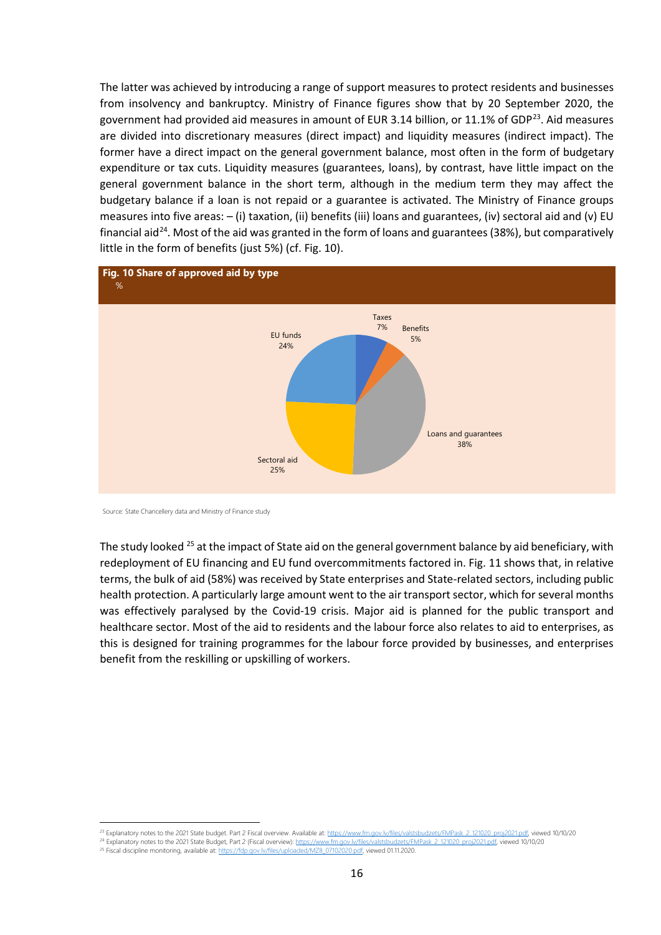The latter was achieved by introducing a range of support measures to protect residents and businesses from insolvency and bankruptcy. Ministry of Finance figures show that by 20 September 2020, the government had provided aid measures in amount of EUR 3.14 billion, or 11.1% of GDP $^{23}$ . Aid measures are divided into discretionary measures (direct impact) and liquidity measures (indirect impact). The former have a direct impact on the general government balance, most often in the form of budgetary expenditure or tax cuts. Liquidity measures (guarantees, loans), by contrast, have little impact on the general government balance in the short term, although in the medium term they may affect the budgetary balance if a loan is not repaid or a guarantee is activated. The Ministry of Finance groups measures into five areas: – (i) taxation, (ii) benefits (iii) loans and guarantees, (iv) sectoral aid and (v) EU financial aid<sup>24</sup>. Most of the aid was granted in the form of loans and guarantees (38%), but comparatively little in the form of benefits (just 5%) (cf. Fig. 10).



Source: State Chancellery data and Ministry of Finance study

**.** 

The study looked <sup>25</sup> at the impact of State aid on the general government balance by aid beneficiary, with redeployment of EU financing and EU fund overcommitments factored in. Fig. 11 shows that, in relative terms, the bulk of aid (58%) was received by State enterprises and State-related sectors, including public health protection. A particularly large amount went to the air transport sector, which for several months was effectively paralysed by the Covid-19 crisis. Major aid is planned for the public transport and healthcare sector. Most of the aid to residents and the labour force also relates to aid to enterprises, as this is designed for training programmes for the labour force provided by businesses, and enterprises benefit from the reskilling or upskilling of workers.

<sup>23</sup> Explanatory notes to the 2021 State budget. Part 2 Fiscal overview. Available at: https://www.fm.gov.lv/files/valstsbudzets/FMPask\_2\_121020\_proj2021.pdf, viewed 10/10/20

<sup>&</sup>lt;sup>24</sup> Explanatory notes to the 2021 State Budget, Part 2 (Fiscal overview): https://www.fm.gov.lv/files/valstsbudzets/FMPask\_2\_121020\_proj2021.pdf, viewed 10/10/20<br><sup>25</sup> Fiscal discipline monitoring, available at: https://fd <sup>25</sup> Fiscal discipline monitoring, available at: http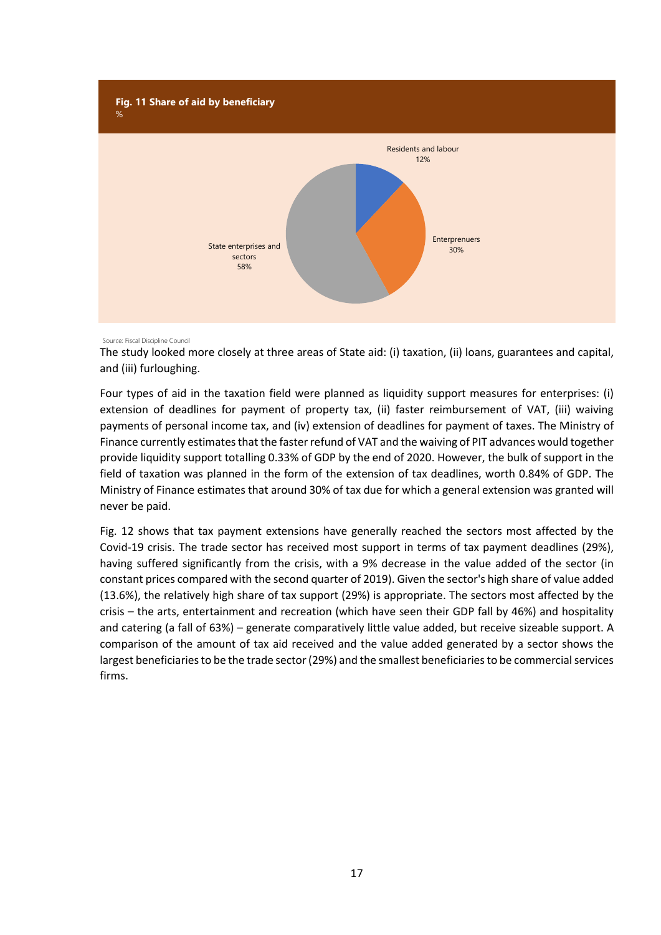

## Source: Fiscal Discipline Council

The study looked more closely at three areas of State aid: (i) taxation, (ii) loans, guarantees and capital, and (iii) furloughing.

Four types of aid in the taxation field were planned as liquidity support measures for enterprises: (i) extension of deadlines for payment of property tax, (ii) faster reimbursement of VAT, (iii) waiving payments of personal income tax, and (iv) extension of deadlines for payment of taxes. The Ministry of Finance currently estimates that the faster refund of VAT and the waiving of PIT advances would together provide liquidity support totalling 0.33% of GDP by the end of 2020. However, the bulk of support in the field of taxation was planned in the form of the extension of tax deadlines, worth 0.84% of GDP. The Ministry of Finance estimates that around 30% of tax due for which a general extension was granted will never be paid.

Fig. 12 shows that tax payment extensions have generally reached the sectors most affected by the Covid-19 crisis. The trade sector has received most support in terms of tax payment deadlines (29%), having suffered significantly from the crisis, with a 9% decrease in the value added of the sector (in constant prices compared with the second quarter of 2019). Given the sector's high share of value added (13.6%), the relatively high share of tax support (29%) is appropriate. The sectors most affected by the crisis – the arts, entertainment and recreation (which have seen their GDP fall by 46%) and hospitality and catering (a fall of 63%) – generate comparatively little value added, but receive sizeable support. A comparison of the amount of tax aid received and the value added generated by a sector shows the largest beneficiaries to be the trade sector (29%) and the smallest beneficiaries to be commercial services firms.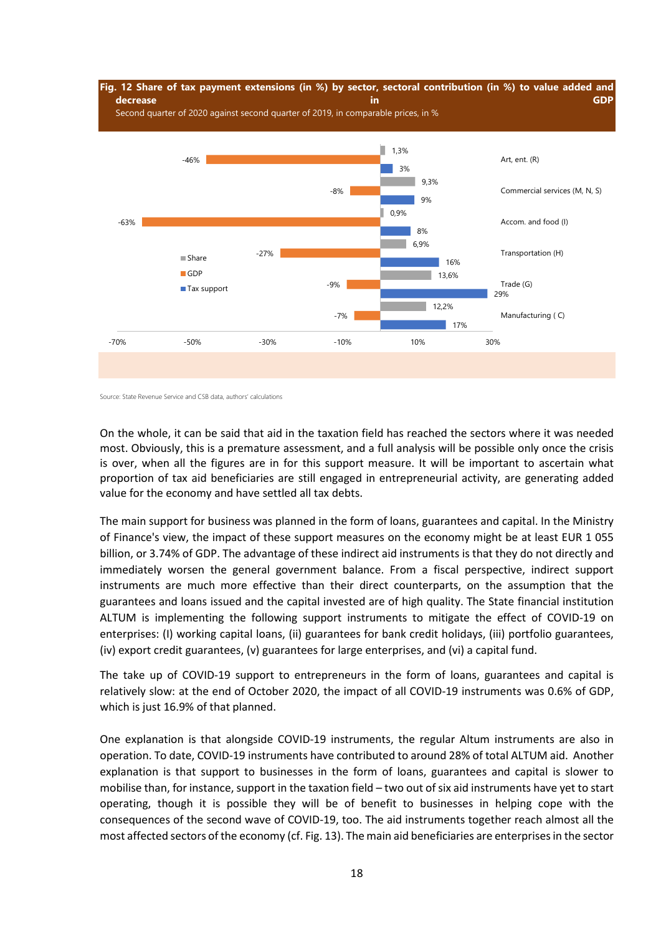

Source: State Revenue Service and CSB data, authors' calculations

On the whole, it can be said that aid in the taxation field has reached the sectors where it was needed most. Obviously, this is a premature assessment, and a full analysis will be possible only once the crisis is over, when all the figures are in for this support measure. It will be important to ascertain what proportion of tax aid beneficiaries are still engaged in entrepreneurial activity, are generating added value for the economy and have settled all tax debts.

The main support for business was planned in the form of loans, guarantees and capital. In the Ministry of Finance's view, the impact of these support measures on the economy might be at least EUR 1 055 billion, or 3.74% of GDP. The advantage of these indirect aid instruments is that they do not directly and immediately worsen the general government balance. From a fiscal perspective, indirect support instruments are much more effective than their direct counterparts, on the assumption that the guarantees and loans issued and the capital invested are of high quality. The State financial institution ALTUM is implementing the following support instruments to mitigate the effect of COVID-19 on enterprises: (I) working capital loans, (ii) guarantees for bank credit holidays, (iii) portfolio guarantees, (iv) export credit guarantees, (v) guarantees for large enterprises, and (vi) a capital fund.

The take up of COVID-19 support to entrepreneurs in the form of loans, guarantees and capital is relatively slow: at the end of October 2020, the impact of all COVID-19 instruments was 0.6% of GDP, which is just 16.9% of that planned.

One explanation is that alongside COVID-19 instruments, the regular Altum instruments are also in operation. To date, COVID-19 instruments have contributed to around 28% of total ALTUM aid. Another explanation is that support to businesses in the form of loans, guarantees and capital is slower to mobilise than, for instance, support in the taxation field – two out of six aid instruments have yet to start operating, though it is possible they will be of benefit to businesses in helping cope with the consequences of the second wave of COVID-19, too. The aid instruments together reach almost all the most affected sectors of the economy (cf. Fig. 13). The main aid beneficiaries are enterprises in the sector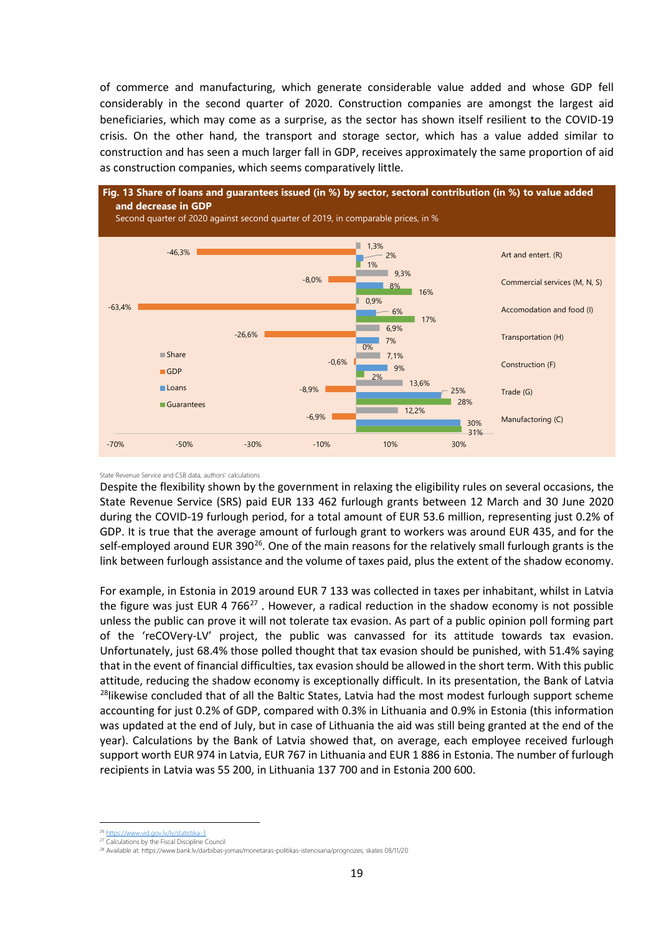of commerce and manufacturing, which generate considerable value added and whose GDP fell considerably in the second quarter of 2020. Construction companies are amongst the largest aid beneficiaries, which may come as a surprise, as the sector has shown itself resilient to the COVID-19 crisis. On the other hand, the transport and storage sector, which has a value added similar to construction and has seen a much larger fall in GDP, receives approximately the same proportion of aid as construction companies, which seems comparatively little.



## State Revenue Service and CSB data, authors' calculations

Despite the flexibility shown by the government in relaxing the eligibility rules on several occasions, the State Revenue Service (SRS) paid EUR 133 462 furlough grants between 12 March and 30 June 2020 during the COVID-19 furlough period, for a total amount of EUR 53.6 million, representing just 0.2% of GDP. It is true that the average amount of furlough grant to workers was around EUR 435, and for the self-employed around EUR 390<sup>26</sup>. One of the main reasons for the relatively small furlough grants is the link between furlough assistance and the volume of taxes paid, plus the extent of the shadow economy.

For example, in Estonia in 2019 around EUR 7 133 was collected in taxes per inhabitant, whilst in Latvia the figure was just EUR 4 766 $^{27}$ . However, a radical reduction in the shadow economy is not possible unless the public can prove it will not tolerate tax evasion. As part of a public opinion poll forming part of the 'reCOVery-LV' project, the public was canvassed for its attitude towards tax evasion. Unfortunately, just 68.4% those polled thought that tax evasion should be punished, with 51.4% saying that in the event of financial difficulties, tax evasion should be allowed in the short term. With this public attitude, reducing the shadow economy is exceptionally difficult. In its presentation, the Bank of Latvia <sup>28</sup>likewise concluded that of all the Baltic States, Latvia had the most modest furlough support scheme accounting for just 0.2% of GDP, compared with 0.3% in Lithuania and 0.9% in Estonia (this information was updated at the end of July, but in case of Lithuania the aid was still being granted at the end of the year). Calculations by the Bank of Latvia showed that, on average, each employee received furlough support worth EUR 974 in Latvia, EUR 767 in Lithuania and EUR 1 886 in Estonia. The number of furlough recipients in Latvia was 55 200, in Lithuania 137 700 and in Estonia 200 600.

**.** 

<sup>&</sup>lt;sup>6</sup> https://www.vid.gov.lv/lv/statistika-3

<sup>27</sup> Calculations by the Fiscal Discipline Council

<sup>28</sup> Available at: https://www.bank.lv/darbibas-jomas/monetaras-politikas-istenosana/prognozes, skates 08/11/20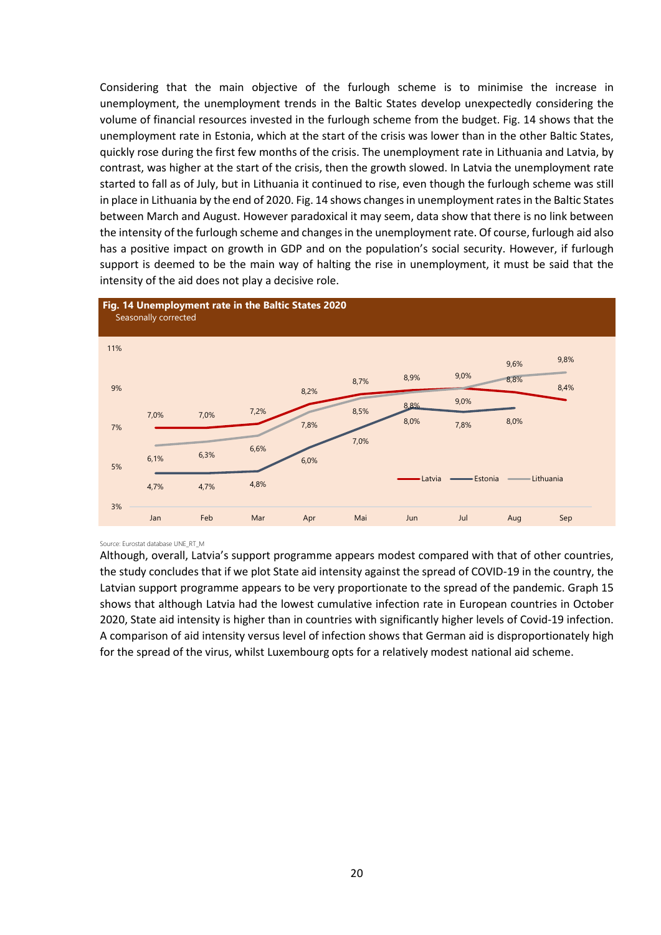Considering that the main objective of the furlough scheme is to minimise the increase in unemployment, the unemployment trends in the Baltic States develop unexpectedly considering the volume of financial resources invested in the furlough scheme from the budget. Fig. 14 shows that the unemployment rate in Estonia, which at the start of the crisis was lower than in the other Baltic States, quickly rose during the first few months of the crisis. The unemployment rate in Lithuania and Latvia, by contrast, was higher at the start of the crisis, then the growth slowed. In Latvia the unemployment rate started to fall as of July, but in Lithuania it continued to rise, even though the furlough scheme was still in place in Lithuania by the end of 2020. Fig. 14 shows changes in unemployment rates in the Baltic States between March and August. However paradoxical it may seem, data show that there is no link between the intensity of the furlough scheme and changes in the unemployment rate. Of course, furlough aid also has a positive impact on growth in GDP and on the population's social security. However, if furlough support is deemed to be the main way of halting the rise in unemployment, it must be said that the intensity of the aid does not play a decisive role.



## Source: Eurostat database UNE\_RT\_M

Although, overall, Latvia's support programme appears modest compared with that of other countries, the study concludes that if we plot State aid intensity against the spread of COVID-19 in the country, the Latvian support programme appears to be very proportionate to the spread of the pandemic. Graph 15 shows that although Latvia had the lowest cumulative infection rate in European countries in October 2020, State aid intensity is higher than in countries with significantly higher levels of Covid-19 infection. A comparison of aid intensity versus level of infection shows that German aid is disproportionately high for the spread of the virus, whilst Luxembourg opts for a relatively modest national aid scheme.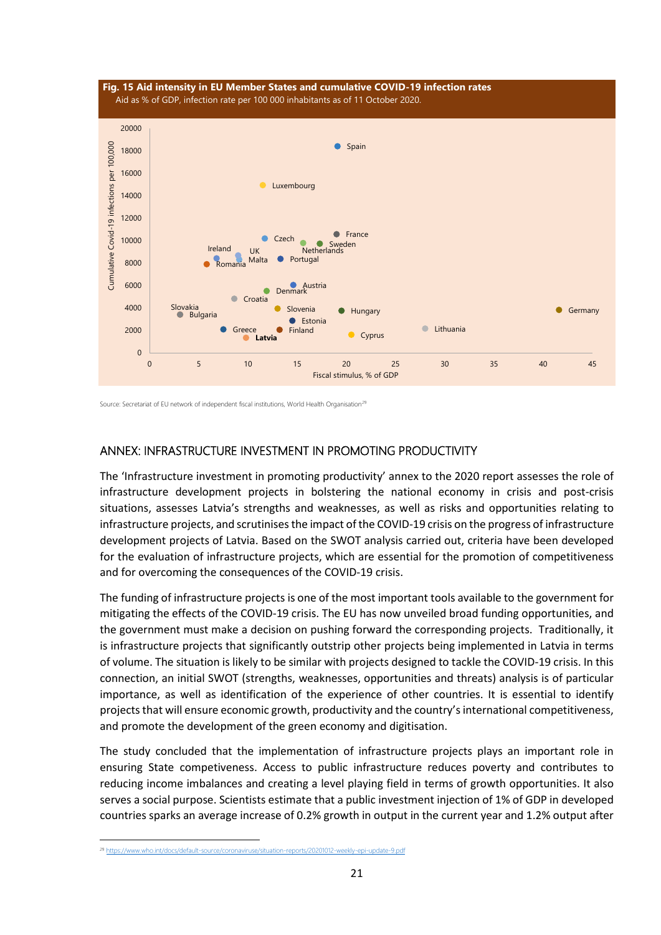

Source: Secretariat of EU network of independent fiscal institutions, World Health Organisation<sup>29</sup>

# ANNEX: INFRASTRUCTURE INVESTMENT IN PROMOTING PRODUCTIVITY

The 'Infrastructure investment in promoting productivity' annex to the 2020 report assesses the role of infrastructure development projects in bolstering the national economy in crisis and post-crisis situations, assesses Latvia's strengths and weaknesses, as well as risks and opportunities relating to infrastructure projects, and scrutinises the impact of the COVID-19 crisis on the progress of infrastructure development projects of Latvia. Based on the SWOT analysis carried out, criteria have been developed for the evaluation of infrastructure projects, which are essential for the promotion of competitiveness and for overcoming the consequences of the COVID-19 crisis.

The funding of infrastructure projects is one of the most important tools available to the government for mitigating the effects of the COVID-19 crisis. The EU has now unveiled broad funding opportunities, and the government must make a decision on pushing forward the corresponding projects. Traditionally, it is infrastructure projects that significantly outstrip other projects being implemented in Latvia in terms of volume. The situation is likely to be similar with projects designed to tackle the COVID-19 crisis. In this connection, an initial SWOT (strengths, weaknesses, opportunities and threats) analysis is of particular importance, as well as identification of the experience of other countries. It is essential to identify projects that will ensure economic growth, productivity and the country's international competitiveness, and promote the development of the green economy and digitisation.

The study concluded that the implementation of infrastructure projects plays an important role in ensuring State competiveness. Access to public infrastructure reduces poverty and contributes to reducing income imbalances and creating a level playing field in terms of growth opportunities. It also serves a social purpose. Scientists estimate that a public investment injection of 1% of GDP in developed countries sparks an average increase of 0.2% growth in output in the current year and 1.2% output after

 $\overline{a}$ 

<sup>&</sup>lt;sup>29</sup> https://www.who.int/docs/default-source/coronaviruse/situation-reports/20201012-weekly-epi-update-9.pdf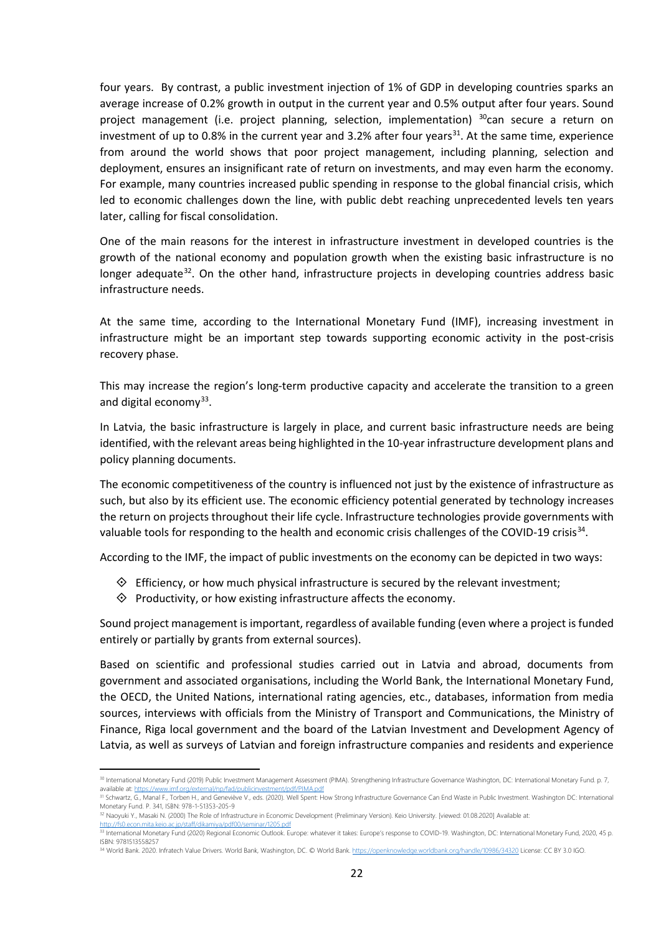four years. By contrast, a public investment injection of 1% of GDP in developing countries sparks an average increase of 0.2% growth in output in the current year and 0.5% output after four years. Sound project management (i.e. project planning, selection, implementation)  $30$ can secure a return on investment of up to 0.8% in the current year and 3.2% after four years<sup>31</sup>. At the same time, experience from around the world shows that poor project management, including planning, selection and deployment, ensures an insignificant rate of return on investments, and may even harm the economy. For example, many countries increased public spending in response to the global financial crisis, which led to economic challenges down the line, with public debt reaching unprecedented levels ten years later, calling for fiscal consolidation.

One of the main reasons for the interest in infrastructure investment in developed countries is the growth of the national economy and population growth when the existing basic infrastructure is no longer adequate<sup>32</sup>. On the other hand, infrastructure projects in developing countries address basic infrastructure needs.

At the same time, according to the International Monetary Fund (IMF), increasing investment in infrastructure might be an important step towards supporting economic activity in the post-crisis recovery phase.

This may increase the region's long-term productive capacity and accelerate the transition to a green and digital economy<sup>33</sup>.

In Latvia, the basic infrastructure is largely in place, and current basic infrastructure needs are being identified, with the relevant areas being highlighted in the 10-year infrastructure development plans and policy planning documents.

The economic competitiveness of the country is influenced not just by the existence of infrastructure as such, but also by its efficient use. The economic efficiency potential generated by technology increases the return on projects throughout their life cycle. Infrastructure technologies provide governments with valuable tools for responding to the health and economic crisis challenges of the COVID-19 crisis<sup>34</sup>.

According to the IMF, the impact of public investments on the economy can be depicted in two ways:

- $\Diamond$  Efficiency, or how much physical infrastructure is secured by the relevant investment;
- $\Diamond$  Productivity, or how existing infrastructure affects the economy.

 $\overline{a}$ 

Sound project management is important, regardless of available funding (even where a project is funded entirely or partially by grants from external sources).

Based on scientific and professional studies carried out in Latvia and abroad, documents from government and associated organisations, including the World Bank, the International Monetary Fund, the OECD, the United Nations, international rating agencies, etc., databases, information from media sources, interviews with officials from the Ministry of Transport and Communications, the Ministry of Finance, Riga local government and the board of the Latvian Investment and Development Agency of Latvia, as well as surveys of Latvian and foreign infrastructure companies and residents and experience

<sup>30</sup> International Monetary Fund (2019) Public Investment Management Assessment (PIMA). Strengthening Infrastructure Governance Washington, DC: International Monetary Fund. p. 7, available at: https://www.imf.org/external/np/fad/publicinvestment/ndf/PIMA nd

<sup>31</sup> Schwartz, G., Manal F., Torben H., and Geneviève V., eds. (2020). Well Spent: How Strong Infrastructure Governance Can End Waste in Public Investment. Washington DC: International Monetary Fund. P. 341, ISBN: 978-1-51353-205-9

<sup>&</sup>lt;sup>32</sup> Naoyuki Y., Masaki N. (2000) The Role of Infrastructure in Economic Development (Preliminary Version). Keio University. [viewed: 01.08.2020] Available at:<br>http://fs0.econ.mita.keio.ac.ip/staff/dikamiva/odf00/seminar/1

<sup>&</sup>lt;u>http://fs0.econ.mita.keio.ac.jp/staff/dikamiya/pdf00/seminar/1205.pdf</u><br><sup>33</sup> International Monetary Fund (2020) Regional Economic Outlook. Europe: whatever it takes: Europe's response to COVID-19. Washington, DC: Internati ISBN: 9781513558257

<sup>34</sup> World Bank. 2020. Infratech Value Drivers. World Bank, Washington, DC. © World Bank. https://openknowledge.worldbank.org/handle/10986/34320 License: CC BY 3.0 IGO.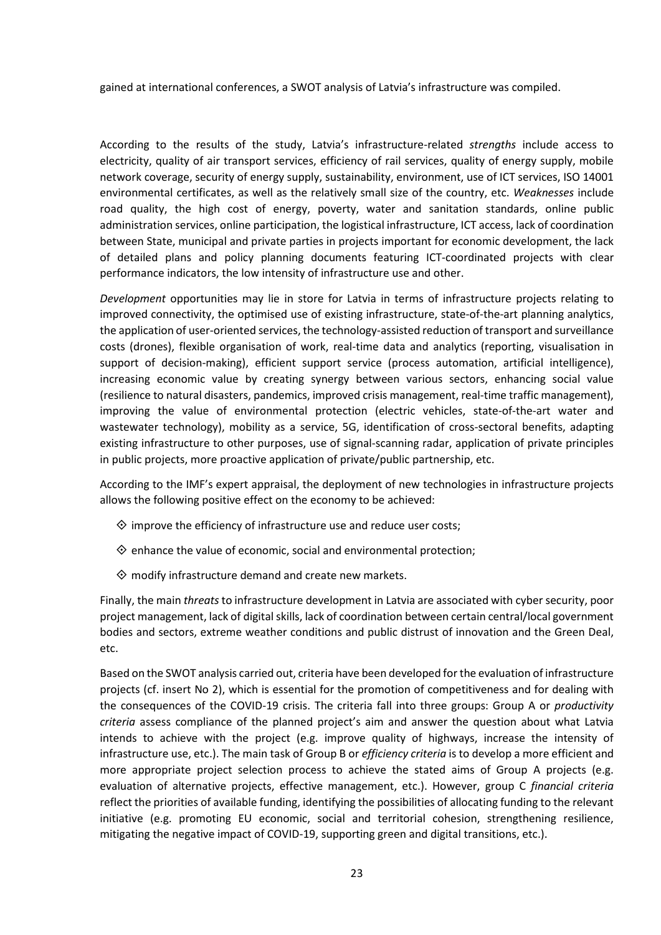gained at international conferences, a SWOT analysis of Latvia's infrastructure was compiled.

According to the results of the study, Latvia's infrastructure-related *strengths* include access to electricity, quality of air transport services, efficiency of rail services, quality of energy supply, mobile network coverage, security of energy supply, sustainability, environment, use of ICT services, ISO 14001 environmental certificates, as well as the relatively small size of the country, etc. *Weaknesses* include road quality, the high cost of energy, poverty, water and sanitation standards, online public administration services, online participation, the logistical infrastructure, ICT access, lack of coordination between State, municipal and private parties in projects important for economic development, the lack of detailed plans and policy planning documents featuring ICT-coordinated projects with clear performance indicators, the low intensity of infrastructure use and other.

*Development* opportunities may lie in store for Latvia in terms of infrastructure projects relating to improved connectivity, the optimised use of existing infrastructure, state-of-the-art planning analytics, the application of user-oriented services, the technology-assisted reduction of transport and surveillance costs (drones), flexible organisation of work, real-time data and analytics (reporting, visualisation in support of decision-making), efficient support service (process automation, artificial intelligence), increasing economic value by creating synergy between various sectors, enhancing social value (resilience to natural disasters, pandemics, improved crisis management, real-time traffic management), improving the value of environmental protection (electric vehicles, state-of-the-art water and wastewater technology), mobility as a service, 5G, identification of cross-sectoral benefits, adapting existing infrastructure to other purposes, use of signal-scanning radar, application of private principles in public projects, more proactive application of private/public partnership, etc.

According to the IMF's expert appraisal, the deployment of new technologies in infrastructure projects allows the following positive effect on the economy to be achieved:

- $\Diamond$  improve the efficiency of infrastructure use and reduce user costs;
- $\diamondsuit$  enhance the value of economic, social and environmental protection;
- $\diamondsuit$  modify infrastructure demand and create new markets.

Finally, the main *threats* to infrastructure development in Latvia are associated with cyber security, poor project management, lack of digital skills, lack of coordination between certain central/local government bodies and sectors, extreme weather conditions and public distrust of innovation and the Green Deal, etc.

Based on the SWOT analysis carried out, criteria have been developed for the evaluation of infrastructure projects (cf. insert No 2), which is essential for the promotion of competitiveness and for dealing with the consequences of the COVID-19 crisis. The criteria fall into three groups: Group A or *productivity criteria* assess compliance of the planned project's aim and answer the question about what Latvia intends to achieve with the project (e.g. improve quality of highways, increase the intensity of infrastructure use, etc.). The main task of Group B or *efficiency criteria* is to develop a more efficient and more appropriate project selection process to achieve the stated aims of Group A projects (e.g. evaluation of alternative projects, effective management, etc.). However, group C *financial criteria* reflect the priorities of available funding, identifying the possibilities of allocating funding to the relevant initiative (e.g. promoting EU economic, social and territorial cohesion, strengthening resilience, mitigating the negative impact of COVID-19, supporting green and digital transitions, etc.).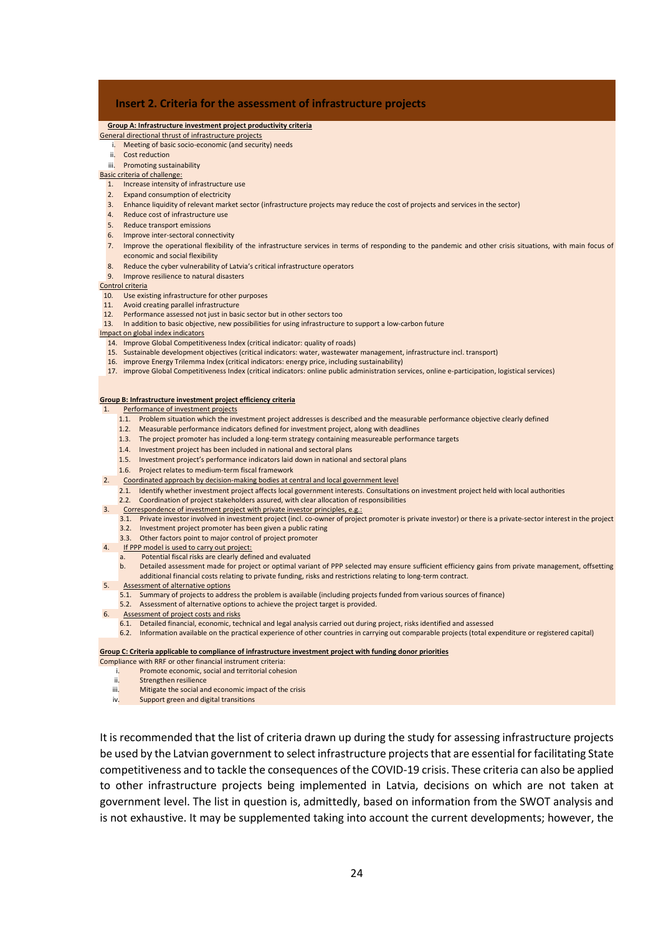## **Insert 2. Criteria for the assessment of infrastructure projects**

#### **Group A: Infrastructure investment project productivity criteria**

#### General directional thrust of infrastructure projects

#### i. Meeting of basic socio-economic (and security) needs

ii. Cost reduction

## iii. Promoting sustainability

## Basic criteria of challenge:

- 1. Increase intensity of infrastructure use
- 2. Expand consumption of electricity
- 3. Enhance liquidity of relevant market sector (infrastructure projects may reduce the cost of projects and services in the sector)
- 4. Reduce cost of infrastructure use
- 5. Reduce transport emissions
- 6. Improve inter-sectoral connectivity
- 7. Improve the operational flexibility of the infrastructure services in terms of responding to the pandemic and other crisis situations, with main focus of economic and social flexibility
- 8. Reduce the cyber vulnerability of Latvia's critical infrastructure operators
- 9. Improve resilience to natural disasters

#### Control criteria

- 10. Use existing infrastructure for other purposes
- 11. Avoid creating parallel infrastructure
- 12. Performance assessed not just in basic sector but in other sectors too In addition to basic objective, new possibilities for using infrastructure to support a low-carbon future
- Impact on global index indicators

- 14. Improve Global Competitiveness Index (critical indicator: quality of roads)
- 15. Sustainable development objectives (critical indicators: water, wastewater management, infrastructure incl. transport)
- 16. improve Energy Trilemma Index (critical indicators: energy price, including sustainability)
- 17. improve Global Competitiveness Index (critical indicators: online public administration services, online e-participation, logistical services)

#### **Group B: Infrastructure investment project efficiency criteria**

#### 1. Performance of investment projects

- 1.1. Problem situation which the investment project addresses is described and the measurable performance objective clearly defined
- 1.2. Measurable performance indicators defined for investment project, along with deadlines
- 1.3. The project promoter has included a long-term strategy containing measureable performance targets
- 1.4. Investment project has been included in national and sectoral plans
- 1.5. Investment project's performance indicators laid down in national and sectoral plans
- 1.6. Project relates to medium-term fiscal framework
- 2. Coordinated approach by decision-making bodies at central and local government level
	- 2.1. Identify whether investment project affects local government interests. Consultations on investment project held with local authorities
	- 2.2. Coordination of project stakeholders assured, with clear allocation of responsibilities
- 3. Correspondence of investment project with private investor principles, e.g.:
	- 3.1. Private investor involved in investment project (incl. co-owner of project promoter is private investor) or there is a private-sector interest in the project 3.2. Investment project promoter has been given a public rating
	- 3.3. Other factors point to major control of project promoter
- 4. If PPP model is used to carry out project:
	- a. Potential fiscal risks are clearly defined and evaluated
	- b. Detailed assessment made for project or optimal variant of PPP selected may ensure sufficient efficiency gains from private management, offsetting additional financial costs relating to private funding, risks and restrictions relating to long-term contract.
- 5. Assessment of alternative options
	- 5.1. Summary of projects to address the problem is available (including projects funded from various sources of finance)
	- 5.2. Assessment of alternative options to achieve the project target is provided.
	- Assessment of project costs and risks
		- 6.1. Detailed financial, economic, technical and legal analysis carried out during project, risks identified and assessed
		- 6.2. Information available on the practical experience of other countries in carrying out comparable projects (total expenditure or registered capital)

#### **Group C: Criteria applicable to compliance of infrastructure investment project with funding donor priorities**

- Compliance with RRF or other financial instrument criteria:
	- i. Promote economic, social and territorial cohesion
	- ii. Strengthen resilience
	- iii. Mitigate the social and economic impact of the crisis
	- iv. Support green and digital transitions

It is recommended that the list of criteria drawn up during the study for assessing infrastructure projects be used by the Latvian government to select infrastructure projects that are essential for facilitating State competitiveness and to tackle the consequences of the COVID-19 crisis. These criteria can also be applied to other infrastructure projects being implemented in Latvia, decisions on which are not taken at government level. The list in question is, admittedly, based on information from the SWOT analysis and is not exhaustive. It may be supplemented taking into account the current developments; however, the